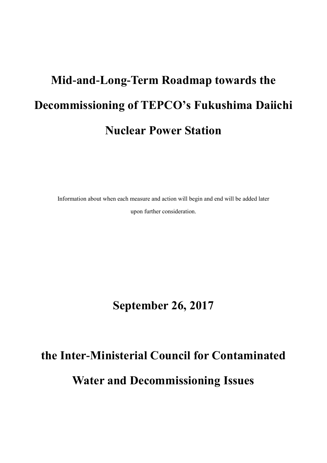# **Mid-and-Long-Term Roadmap towards the Decommissioning of TEPCO's Fukushima Daiichi Nuclear Power Station**

Information about when each measure and action will begin and end will be added later upon further consideration.

**September 26, 2017**

# **the Inter-Ministerial Council for Contaminated Water and Decommissioning Issues**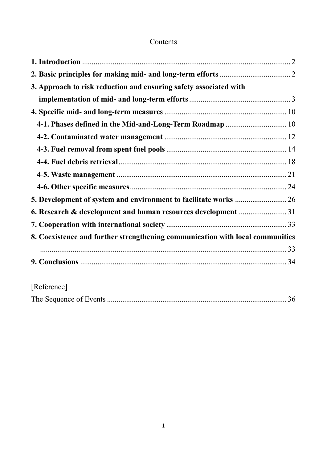# Contents

| 3. Approach to risk reduction and ensuring safety associated with             |  |
|-------------------------------------------------------------------------------|--|
|                                                                               |  |
|                                                                               |  |
| 4-1. Phases defined in the Mid-and-Long-Term Roadmap  10                      |  |
|                                                                               |  |
|                                                                               |  |
|                                                                               |  |
|                                                                               |  |
|                                                                               |  |
|                                                                               |  |
| 6. Research & development and human resources development 31                  |  |
|                                                                               |  |
| 8. Coexistence and further strengthening communication with local communities |  |
|                                                                               |  |
|                                                                               |  |
|                                                                               |  |

# [Reference]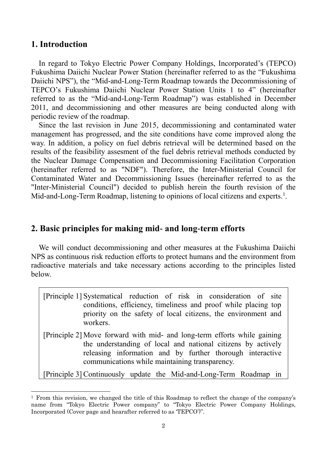## <span id="page-2-0"></span>**1. Introduction**

-

In regard to Tokyo Electric Power Company Holdings, Incorporated's (TEPCO) Fukushima Daiichi Nuclear Power Station (hereinafter referred to as the "Fukushima Daiichi NPS"), the "Mid-and-Long-Term Roadmap towards the Decommissioning of TEPCO's Fukushima Daiichi Nuclear Power Station Units 1 to 4" (hereinafter referred to as the "Mid-and-Long-Term Roadmap") was established in December 2011, and decommissioning and other measures are being conducted along with periodic review of the roadmap.

Since the last revision in June 2015, decommissioning and contaminated water management has progressed, and the site conditions have come improved along the way. In addition, a policy on fuel debris retrieval will be determined based on the results of the feasibility assesment of the fuel debris retrieval methods conducted by the Nuclear Damage Compensation and Decommissioning Facilitation Corporation (hereinafter referred to as "NDF"). Therefore, the Inter-Ministerial Council for Contaminated Water and Decommissioning Issues (hereinafter referred to as the "Inter-Ministerial Council") decided to publish herein the fourth revision of the Mid-and-Long-Term Roadmap, listening to opinions of local citizens and experts.<sup>1</sup>.

## <span id="page-2-1"></span>**2. Basic principles for making mid- and long-term efforts**

We will conduct decommissioning and other measures at the Fukushima Daiichi NPS as continuous risk reduction efforts to protect humans and the environment from radioactive materials and take necessary actions according to the principles listed below.

[Principle 1] Systematical reduction of risk in consideration of site conditions, efficiency, timeliness and proof while placing top priority on the safety of local citizens, the environment and workers.

[Principle 2] Move forward with mid- and long-term efforts while gaining the understanding of local and national citizens by actively releasing information and by further thorough interactive communications while maintaining transparency.

[Principle 3] Continuously update the Mid-and-Long-Term Roadmap in

<sup>1</sup> From this revision, we changed the title of this Roadmap to reflect the change of the company's name from "Tokyo Electric Power company" to "Tokyo Electric Power Company Holdings, Incorporated (Cover page and hearafter referred to as 'TEPCO')".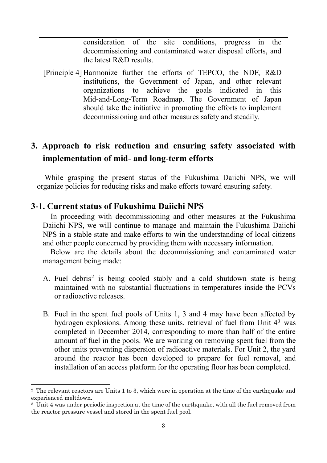consideration of the site conditions, progress in the decommissioning and contaminated water disposal efforts, and the latest R&D results.

[Principle 4] Harmonize further the efforts of TEPCO, the NDF, R&D institutions, the Government of Japan, and other relevant organizations to achieve the goals indicated in this Mid-and-Long-Term Roadmap. The Government of Japan should take the initiative in promoting the efforts to implement decommissioning and other measures safety and steadily.

# <span id="page-3-0"></span>**3. Approach to risk reduction and ensuring safety associated with implementation of mid- and long-term efforts**

While grasping the present status of the Fukushima Daiichi NPS, we will organize policies for reducing risks and make efforts toward ensuring safety.

## **3-1. Current status of Fukushima Daiichi NPS**

-

In proceeding with decommissioning and other measures at the Fukushima Daiichi NPS, we will continue to manage and maintain the Fukushima Daiichi NPS in a stable state and make efforts to win the understanding of local citizens and other people concerned by providing them with necessary information.

Below are the details about the decommissioning and contaminated water management being made:

- A. Fuel debris<sup>2</sup> is being cooled stably and a cold shutdown state is being maintained with no substantial fluctuations in temperatures inside the PCVs or radioactive releases.
- B. Fuel in the spent fuel pools of Units 1, 3 and 4 may have been affected by hydrogen explosions. Among these units, retrieval of fuel from Unit  $4<sup>3</sup>$  was completed in December 2014, corresponding to more than half of the entire amount of fuel in the pools. We are working on removing spent fuel from the other units preventing dispersion of radioactive materials. For Unit 2, the yard around the reactor has been developed to prepare for fuel removal, and installation of an access platform for the operating floor has been completed.

<sup>&</sup>lt;sup>2</sup> The relevant reactors are Units 1 to 3, which were in operation at the time of the earthquake and experienced meltdown.

<sup>&</sup>lt;sup>3</sup> Unit 4 was under periodic inspection at the time of the earthquake, with all the fuel removed from the reactor pressure vessel and stored in the spent fuel pool.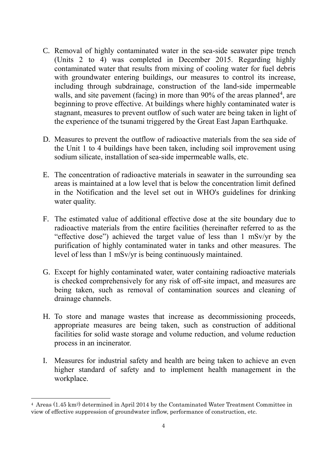- C. Removal of highly contaminated water in the sea-side seawater pipe trench (Units 2 to 4) was completed in December 2015. Regarding highly contaminated water that results from mixing of cooling water for fuel debris with groundwater entering buildings, our measures to control its increase, including through subdrainage, construction of the land-side impermeable walls, and site pavement (facing) in more than  $90\%$  of the areas planned<sup>4</sup>, are beginning to prove effective. At buildings where highly contaminated water is stagnant, measures to prevent outflow of such water are being taken in light of the experience of the tsunami triggered by the Great East Japan Earthquake.
- D. Measures to prevent the outflow of radioactive materials from the sea side of the Unit 1 to 4 buildings have been taken, including soil improvement using sodium silicate, installation of sea-side impermeable walls, etc.
- E. The concentration of radioactive materials in seawater in the surrounding sea areas is maintained at a low level that is below the concentration limit defined in the Notification and the level set out in WHO's guidelines for drinking water quality.
- F. The estimated value of additional effective dose at the site boundary due to radioactive materials from the entire facilities (hereinafter referred to as the "effective dose") achieved the target value of less than 1 mSv/yr by the purification of highly contaminated water in tanks and other measures. The level of less than 1 mSv/yr is being continuously maintained.
- G. Except for highly contaminated water, water containing radioactive materials is checked comprehensively for any risk of off-site impact, and measures are being taken, such as removal of contamination sources and cleaning of drainage channels.
- H. To store and manage wastes that increase as decommissioning proceeds, appropriate measures are being taken, such as construction of additional facilities for solid waste storage and volume reduction, and volume reduction process in an incinerator.
- I. Measures for industrial safety and health are being taken to achieve an even higher standard of safety and to implement health management in the workplace.

 $\overline{\phantom{a}}$ 

<sup>4</sup> Areas (1.45 km2) determined in April 2014 by the Contaminated Water Treatment Committee in view of effective suppression of groundwater inflow, performance of construction, etc.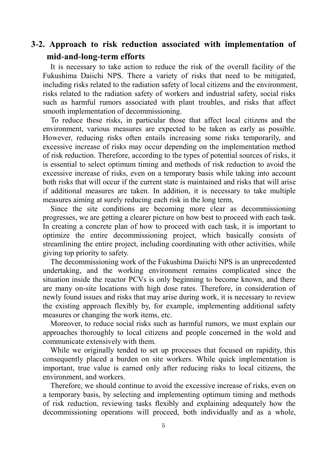# **3-2. Approach to risk reduction associated with implementation of mid-and-long-term efforts**

It is necessary to take action to reduce the risk of the overall facility of the Fukushima Daiichi NPS. There a variety of risks that need to be mitigated, including risks related to the radiation safety of local citizens and the environment, risks related to the radiation safety of workers and industrial safety, social risks such as harmful rumors associated with plant troubles, and risks that affect smooth implementation of decommissioning.

To reduce these risks, in particular those that affect local citizens and the environment, various measures are expected to be taken as early as possible. However, reducing risks often entails increasing some risks temporarily, and excessive increase of risks may occur depending on the implementation method of risk reduction. Therefore, according to the types of potential sources of risks, it is essential to select optimum timing and methods of risk reduction to avoid the excessive increase of risks, even on a temporary basis while taking into account both risks that will occur if the current state is maintained and risks that will arise if additional measures are taken. In addition, it is necessary to take multiple measures aiming at surely reducing each risk in the long term,

Since the site conditions are becoming more clear as decommissioning progresses, we are getting a clearer picture on how best to proceed with each task. In creating a concrete plan of how to proceed with each task, it is important to optimize the entire decommissioning project, which basically consists of streamlining the entire project, including coordinating with other activities, while giving top priority to safety.

The decommissioning work of the Fukushima Daiichi NPS is an unprecedented undertaking, and the working environment remains complicated since the situation inside the reactor PCVs is only beginning to become known, and there are many on-site locations with high dose rates. Therefore, in consideration of newly found issues and risks that may arise during work, it is necessary to review the existing approach flexibly by, for example, implementing additional safety measures or changing the work items, etc.

Moreover, to reduce social risks such as harmful rumors, we must explain our approaches thoroughly to local citizens and people concerned in the wold and communicate extensively with them.

While we originally tended to set up processes that focused on rapidity, this consequently placed a burden on site workers. While quick implementation is important, true value is earned only after reducing risks to local citizens, the environment, and workers.

Therefore, we should continue to avoid the excessive increase of risks, even on a temporary basis, by selecting and implementing optimum timing and methods of risk reduction, reviewing tasks flexibly and explaining adequately how the decommissioning operations will proceed, both individually and as a whole,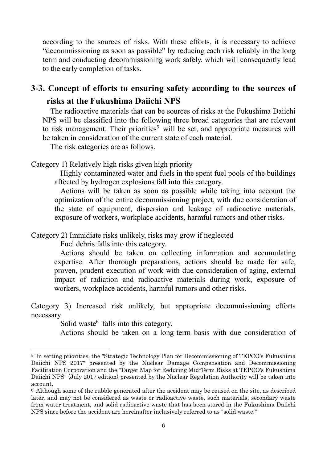according to the sources of risks. With these efforts, it is necessary to achieve "decommissioning as soon as possible" by reducing each risk reliably in the long term and conducting decommissioning work safely, which will consequently lead to the early completion of tasks.

# **3-3. Concept of efforts to ensuring safety according to the sources of risks at the Fukushima Daiichi NPS**

The radioactive materials that can be sources of risks at the Fukushima Daiichi NPS will be classified into the following three broad categories that are relevant to risk management. Their priorities<sup>5</sup> will be set, and appropriate measures will be taken in consideration of the current state of each material.

The risk categories are as follows.

Category 1) Relatively high risks given high priority

Highly contaminated water and fuels in the spent fuel pools of the buildings affected by hydrogen explosions fall into this category.

Actions will be taken as soon as possible while taking into account the optimization of the entire decommissioning project, with due consideration of the state of equipment, dispersion and leakage of radioactive materials, exposure of workers, workplace accidents, harmful rumors and other risks.

Category 2) Immidiate risks unlikely, risks may grow if neglected

Fuel debris falls into this category.

Actions should be taken on collecting information and accumulating expertise. After thorough preparations, actions should be made for safe, proven, prudent execution of work with due consideration of aging, external impact of radiation and radioactive materials during work, exposure of workers, workplace accidents, harmful rumors and other risks.

Category 3) Increased risk unlikely, but appropriate decommissioning efforts necessary

Solid waste<sup>6</sup> falls into this category.

-

Actions should be taken on a long-term basis with due consideration of

<sup>5</sup> In setting priorities, the "Strategic Technology Plan for Decommissioning of TEPCO's Fukushima Daiichi NPS 2017" presented by the Nuclear Damage Compensation and Decommissioning Facilitation Corporation and the "Target Map for Reducing Mid-Term Risks at TEPCO's Fukushima Daiichi NPS" (July 2017 edition) presented by the Nuclear Regulation Authority will be taken into account.

<sup>6</sup> Although some of the rubble generated after the accident may be reused on the site, as described later, and may not be considered as waste or radioactive waste, such materials, secondary waste from water treatment, and solid radioactive waste that has been stored in the Fukushima Daiichi NPS since before the accident are hereinafter inclusively referred to as "solid waste."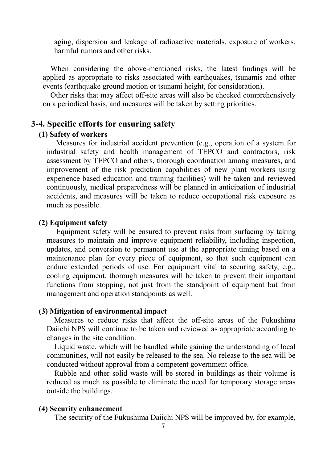aging, dispersion and leakage of radioactive materials, exposure of workers, harmful rumors and other risks.

When considering the above-mentioned risks, the latest findings will be applied as appropriate to risks associated with earthquakes, tsunamis and other events (earthquake ground motion or tsunami height, for consideration).

Other risks that may affect off-site areas will also be checked comprehensively on a periodical basis, and measures will be taken by setting priorities.

## **3-4. Specific efforts for ensuring safety**

#### **(1) Safety of workers**

Measures for industrial accident prevention (e.g., operation of a system for industrial safety and health management of TEPCO and contractors, risk assessment by TEPCO and others, thorough coordination among measures, and improvement of the risk prediction capabilities of new plant workers using experience-based education and training facilities) will be taken and reviewed continuously, medical preparedness will be planned in anticipation of industrial accidents, and measures will be taken to reduce occupational risk exposure as much as possible.

#### **(2) Equipment safety**

Equipment safety will be ensured to prevent risks from surfacing by taking measures to maintain and improve equipment reliability, including inspection, updates, and conversion to permanent use at the appropriate timing based on a maintenance plan for every piece of equipment, so that such equipment can endure extended periods of use. For equipment vital to securing safety, e.g., cooling equipment, thorough measures will be taken to prevent their important functions from stopping, not just from the standpoint of equipment but from management and operation standpoints as well.

#### **(3) Mitigation of environmental impact**

 Measures to reduce risks that affect the off-site areas of the Fukushima Daiichi NPS will continue to be taken and reviewed as appropriate according to changes in the site condition.

Liquid waste, which will be handled while gaining the understanding of local communities, will not easily be released to the sea. No release to the sea will be conducted without approval from a competent government office.

Rubble and other solid waste will be stored in buildings as their volume is reduced as much as possible to eliminate the need for temporary storage areas outside the buildings.

#### **(4) Security enhancement**

The security of the Fukushima Daiichi NPS will be improved by, for example,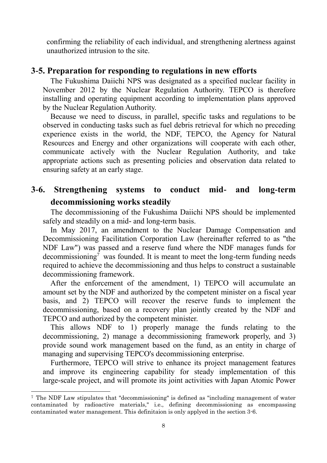confirming the reliability of each individual, and strengthening alertness against unauthorized intrusion to the site.

## **3-5. Preparation for responding to regulations in new efforts**

The Fukushima Daiichi NPS was designated as a specified nuclear facility in November 2012 by the Nuclear Regulation Authority. TEPCO is therefore installing and operating equipment according to implementation plans approved by the Nuclear Regulation Authority.

Because we need to discuss, in parallel, specific tasks and regulations to be observed in conducting tasks such as fuel debris retrieval for which no preceding experience exists in the world, the NDF, TEPCO, the Agency for Natural Resources and Energy and other organizations will cooperate with each other, communicate actively with the Nuclear Regulation Authority, and take appropriate actions such as presenting policies and observation data related to ensuring safety at an early stage.

# **3-6. Strengthening systems to conduct mid- and long-term decommissioning works steadily**

The decommissioning of the Fukushima Daiichi NPS should be implemented safely and steadily on a mid- and long-term basis.

In May 2017, an amendment to the Nuclear Damage Compensation and Decommissioning Facilitation Corporation Law (hereinafter referred to as "the NDF Law") was passed and a reserve fund where the NDF manages funds for decommissioning<sup> $\bar{7}$ </sup> was founded. It is meant to meet the long-term funding needs required to achieve the decommissioning and thus helps to construct a sustainable decommissioning framework.

After the enforcement of the amendment, 1) TEPCO will accumulate an amount set by the NDF and authorized by the competent minister on a fiscal year basis, and 2) TEPCO will recover the reserve funds to implement the decommissioning, based on a recovery plan jointly created by the NDF and TEPCO and authorized by the competent minister.

This allows NDF to 1) properly manage the funds relating to the decommissioning, 2) manage a decommissioning framework properly, and 3) provide sound work management based on the fund, as an entity in charge of managing and supervising TEPCO's decommissioning enterprise.

Furthermore, TEPCO will strive to enhance its project management features and improve its engineering capability for steady implementation of this large-scale project, and will promote its joint activities with Japan Atomic Power

-

<sup>7</sup> The NDF Law stipulates that "decommissioning" is defined as "including management of water contaminated by radioactive materials," i.e., defining decommissioning as encompassing contaminated water management. This definitaion is only applyed in the section 3-6.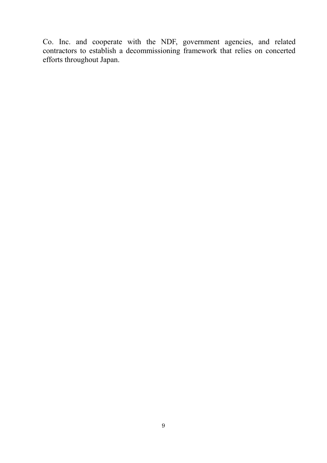Co. Inc. and cooperate with the NDF, government agencies, and related contractors to establish a decommissioning framework that relies on concerted efforts throughout Japan.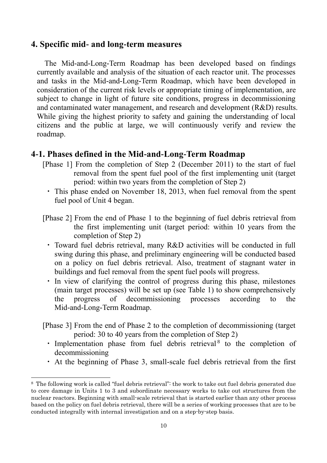## <span id="page-10-0"></span>**4. Specific mid- and long-term measures**

The Mid-and-Long-Term Roadmap has been developed based on findings currently available and analysis of the situation of each reactor unit. The processes and tasks in the Mid-and-Long-Term Roadmap, which have been developed in consideration of the current risk levels or appropriate timing of implementation, are subject to change in light of future site conditions, progress in decommissioning and contaminated water management, and research and development (R&D) results. While giving the highest priority to safety and gaining the understanding of local citizens and the public at large, we will continuously verify and review the roadmap.

## <span id="page-10-1"></span>**4-1. Phases defined in the Mid-and-Long-Term Roadmap**

- [Phase 1] From the completion of Step 2 (December 2011) to the start of fuel removal from the spent fuel pool of the first implementing unit (target period: within two years from the completion of Step 2)
	- ・ This phase ended on November 18, 2013, when fuel removal from the spent fuel pool of Unit 4 began.
- [Phase 2] From the end of Phase 1 to the beginning of fuel debris retrieval from the first implementing unit (target period: within 10 years from the completion of Step 2)
	- ・ Toward fuel debris retrieval, many R&D activities will be conducted in full swing during this phase, and preliminary engineering will be conducted based on a policy on fuel debris retrieval. Also, treatment of stagnant water in buildings and fuel removal from the spent fuel pools will progress.
	- ・ In view of clarifying the control of progress during this phase, milestones (main target processes) will be set up (see Table 1) to show comprehensively the progress of decommissioning processes according to the Mid-and-Long-Term Roadmap.

[Phase 3] From the end of Phase 2 to the completion of decommissioning (target period: 30 to 40 years from the completion of Step 2)

- $\cdot$  Implementation phase from fuel debris retrieval<sup>8</sup> to the completion of decommissioning
- ・ At the beginning of Phase 3, small-scale fuel debris retrieval from the first

 $\overline{a}$ 

<sup>8</sup> The following work is called "fuel debris retrieval": the work to take out fuel debris generated due to core damage in Units 1 to 3 and subordinate necessary works to take out structures from the nuclear reactors. Beginning with small-scale retrieval that is started earlier than any other process based on the policy on fuel debris retrieval, there will be a series of working processes that are to be conducted integrally with internal investigation and on a step-by-step basis.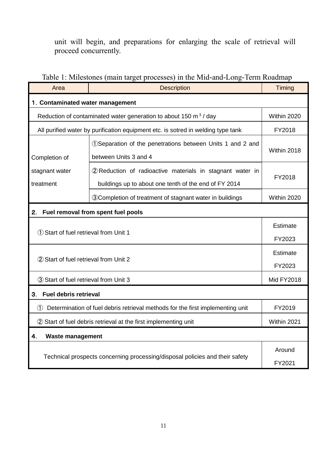unit will begin, and preparations for enlarging the scale of retrieval will proceed concurrently.

# Table 1: Milestones (main target processes) in the Mid-and-Long-Term Roadmap

| Area                                                                                  | <b>Description</b>                                                                                                 | Timing                    |  |  |
|---------------------------------------------------------------------------------------|--------------------------------------------------------------------------------------------------------------------|---------------------------|--|--|
| 1. Contaminated water management                                                      |                                                                                                                    |                           |  |  |
| Reduction of contaminated water generation to about 150 $\text{m}^3$ / day            |                                                                                                                    | Within 2020               |  |  |
| All purified water by purification equipment etc. is sotred in welding type tank      |                                                                                                                    | FY2018                    |  |  |
| Completion of                                                                         | 1 Separation of the penetrations between Units 1 and 2 and<br>between Units 3 and 4                                | Within 2018               |  |  |
| stagnant water<br>treatment                                                           | 2 Reduction of radioactive materials in stagnant water in<br>buildings up to about one tenth of the end of FY 2014 | FY2018                    |  |  |
|                                                                                       | <b>30 Completion of treatment of stagnant water in buildings</b>                                                   | Within 2020               |  |  |
| Fuel removal from spent fuel pools<br>2.                                              |                                                                                                                    |                           |  |  |
| 1) Start of fuel retrieval from Unit 1                                                |                                                                                                                    | Estimate                  |  |  |
|                                                                                       |                                                                                                                    | FY2023                    |  |  |
| 2 Start of fuel retrieval from Unit 2                                                 |                                                                                                                    | <b>Estimate</b><br>FY2023 |  |  |
| 3 Start of fuel retrieval from Unit 3                                                 |                                                                                                                    | <b>Mid FY2018</b>         |  |  |
| <b>Fuel debris retrieval</b><br>3.                                                    |                                                                                                                    |                           |  |  |
| Determination of fuel debris retrieval methods for the first implementing unit<br>(1) |                                                                                                                    | FY2019                    |  |  |
| 2 Start of fuel debris retrieval at the first implementing unit                       |                                                                                                                    | Within 2021               |  |  |
| 4.<br><b>Waste management</b>                                                         |                                                                                                                    |                           |  |  |
| Technical prospects concerning processing/disposal policies and their safety          |                                                                                                                    | Around<br>FY2021          |  |  |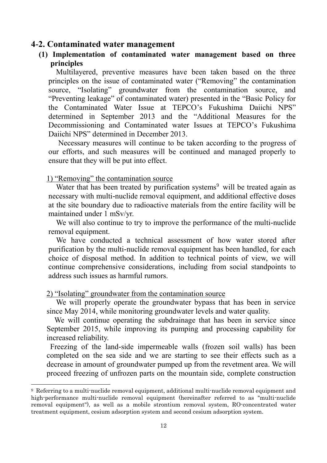#### <span id="page-12-0"></span>**4-2. Contaminated water management**

**(1) Implementation of contaminated water management based on three principles**

Multilayered, preventive measures have been taken based on the three principles on the issue of contaminated water ("Removing" the contamination source, "Isolating" groundwater from the contamination source, and "Preventing leakage" of contaminated water) presented in the "Basic Policy for the Contaminated Water Issue at TEPCO's Fukushima Daiichi NPS" determined in September 2013 and the "Additional Measures for the Decommissioning and Contaminated water Issues at TEPCO's Fukushima Daiichi NPS" determined in December 2013.

Necessary measures will continue to be taken according to the progress of our efforts, and such measures will be continued and managed properly to ensure that they will be put into effect.

#### 1) "Removing" the contamination source

-

Water that has been treated by purification systems<sup>9</sup> will be treated again as necessary with multi-nuclide removal equipment, and additional effective doses at the site boundary due to radioactive materials from the entire facility will be maintained under 1 mSv/yr.

We will also continue to try to improve the performance of the multi-nuclide removal equipment.

We have conducted a technical assessment of how water stored after purification by the multi-nuclide removal equipment has been handled, for each choice of disposal method. In addition to technical points of view, we will continue comprehensive considerations, including from social standpoints to address such issues as harmful rumors.

#### 2) "Isolating" groundwater from the contamination source

We will properly operate the groundwater bypass that has been in service since May 2014, while monitoring groundwater levels and water quality.

We will continue operating the subdrainage that has been in service since September 2015, while improving its pumping and processing capability for increased reliability.

Freezing of the land-side impermeable walls (frozen soil walls) has been completed on the sea side and we are starting to see their effects such as a decrease in amount of groundwater pumped up from the revetment area. We will proceed freezing of unfrozen parts on the mountain side, complete construction

<sup>9</sup> Referring to a multi-nuclide removal equipment, additional multi-nuclide removal equipment and high-performance multi-nuclide removal equipment (hereinafter referred to as "multi-nuclide removal equipment"), as well as a mobile strontium removal system, RO-concentrated water treatment equipment, cesium adsorption system and second cesium adsorption system.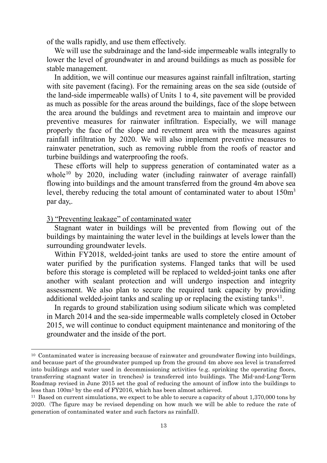of the walls rapidly, and use them effectively.

We will use the subdrainage and the land-side impermeable walls integrally to lower the level of groundwater in and around buildings as much as possible for stable management.

In addition, we will continue our measures against rainfall infiltration, starting with site pavement (facing). For the remaining areas on the sea side (outside of the land-side impermeable walls) of Units 1 to 4, site pavement will be provided as much as possible for the areas around the buildings, face of the slope between the area around the buldings and revetment area to maintain and improve our preventive measures for rainwater infiltration. Especially, we will manage properly the face of the slope and revetment area with the measures against rainfall infiltration by 2020. We will also implement preventive measures to rainwater penetration, such as removing rubble from the roofs of reactor and turbine buildings and waterproofing the roofs.

These efforts will help to suppress generation of contaminated water as a whole<sup>10</sup> by 2020, including water (including rainwater of average rainfall) flowing into buildings and the amount transferred from the ground 4m above sea level, thereby reducing the total amount of contaminated water to about  $150m<sup>3</sup>$ par day,.

3) "Preventing leakage" of contaminated water

-

Stagnant water in buildings will be prevented from flowing out of the buildings by maintaining the water level in the buildings at levels lower than the surrounding groundwater levels.

Within FY2018, welded-joint tanks are used to store the entire amount of water purified by the purification systems. Flanged tanks that will be used before this storage is completed will be replaced to welded-joint tanks one after another with sealant protection and will undergo inspection and integrity assessment. We also plan to secure the required tank capacity by providing additional welded-joint tanks and scaling up or replacing the existing tanks $^{11}$ .

In regards to ground stabilization using sodium silicate which was completed in March 2014 and the sea-side impermeable walls completely closed in October 2015, we will continue to conduct equipment maintenance and monitoring of the groundwater and the inside of the port.

<sup>10</sup> Contaminated water is increasing because of rainwater and groundwater flowing into buildings, and because part of the groundwater pumped up from the ground 4m above sea level is transferred into buildings and water used in decommissioning activities (e.g. sprinking the operating floors, transferring stagnant water in trenches) is transferred into buildings. The Mid-and-Long-Term Roadmap revised in June 2015 set the goal of reducing the amount of inflow into the buildings to less than 100m<sup>3</sup> by the end of FY2016, which has been almost achieved.

<sup>&</sup>lt;sup>11</sup> Based on current simulations, we expect to be able to secure a capacity of about 1,370,000 tons by 2020.(The figure may be revised depending on how much we will be able to reduce the rate of generation of contaminated water and such factors as rainfall).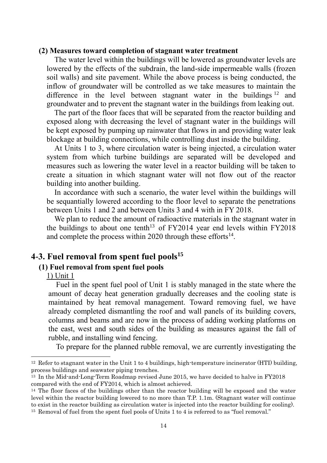#### **(2) Measures toward completion of stagnant water treatment**

The water level within the buildings will be lowered as groundwater levels are lowered by the effects of the subdrain, the land-side impermeable walls (frozen soil walls) and site pavement. While the above process is being conducted, the inflow of groundwater will be controlled as we take measures to maintain the difference in the level between stagnant water in the buildings  $12$  and groundwater and to prevent the stagnant water in the buildings from leaking out.

The part of the floor faces that will be separated from the reactor building and exposed along with decreasing the level of stagnant water in the buildings will be kept exposed by pumping up rainwater that flows in and providing water leak blockage at building connections, while controlling dust inside the building.

At Units 1 to 3, where circulation water is being injected, a circulation water system from which turbine buildings are separated will be developed and measures such as lowering the water level in a reactor building will be taken to create a situation in which stagnant water will not flow out of the reactor building into another building.

In accordance with such a scenario, the water level within the buildings will be sequantially lowered according to the floor level to separate the penetrations between Units 1 and 2 and between Units 3 and 4 with in FY 2018.

We plan to reduce the amount of radioactive materials in the stagnant water in the buildings to about one tenth<sup>13</sup> of FY2014 year end levels within FY2018 and complete the process within 2020 through these efforts $14$ .

## <span id="page-14-0"></span>**4-3. Fuel removal from spent fuel pools<sup>15</sup>**

#### **(1) Fuel removal from spent fuel pools**

1) Unit 1

 $\overline{\phantom{a}}$ 

Fuel in the spent fuel pool of Unit 1 is stably managed in the state where the amount of decay heat generation gradually decreases and the cooling state is maintained by heat removal management. Toward removing fuel, we have already completed dismantling the roof and wall panels of its building covers, columns and beams and are now in the process of adding working platforms on the east, west and south sides of the building as measures against the fall of rubble, and installing wind fencing.

To prepare for the planned rubble removal, we are currently investigating the

<sup>12</sup> Refer to stagnant water in the Unit 1 to 4 buildings, high-temperature incinerator (HTI) building, process buildings and seawater piping trenches.

<sup>13</sup> In the Mid-and-Long-Term Roadmap revised June 2015, we have decided to halve in FY2018 compared with the end of FY2014, which is almost achieved.

<sup>&</sup>lt;sup>14</sup> The floor faces of the buildings other than the reactor building will be exposed and the water level within the reactor building lowered to no more than T.P. 1.1m. (Stagnant water will continue to exist in the reactor building as circulation water is injected into the reactor building for cooling). <sup>15</sup> Removal of fuel from the spent fuel pools of Units 1 to 4 is referred to as "fuel removal."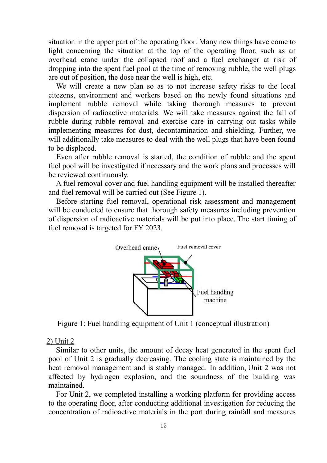situation in the upper part of the operating floor. Many new things have come to light concerning the situation at the top of the operating floor, such as an overhead crane under the collapsed roof and a fuel exchanger at risk of dropping into the spent fuel pool at the time of removing rubble, the well plugs are out of position, the dose near the well is high, etc.

We will create a new plan so as to not increase safety risks to the local citezens, environment and workers based on the newly found situations and implement rubble removal while taking thorough measures to prevent dispersion of radioactive materials. We will take measures against the fall of rubble during rubble removal and exercise care in carrying out tasks while implementing measures for dust, decontamination and shielding. Further, we will additionally take measures to deal with the well plugs that have been found to be displaced.

Even after rubble removal is started, the condition of rubble and the spent fuel pool will be investigated if necessary and the work plans and processes will be reviewed continuously.

A fuel removal cover and fuel handling equipment will be installed thereafter and fuel removal will be carried out (See Figure 1).

Before starting fuel removal, operational risk assessment and management will be conducted to ensure that thorough safety measures including prevention of dispersion of radioactive materials will be put into place. The start timing of fuel removal is targeted for FY 2023.



Figure 1: Fuel handling equipment of Unit 1 (conceptual illustration)

#### 2) Unit 2

Similar to other units, the amount of decay heat generated in the spent fuel pool of Unit 2 is gradually decreasing. The cooling state is maintained by the heat removal management and is stably managed. In addition, Unit 2 was not affected by hydrogen explosion, and the soundness of the building was maintained.

For Unit 2, we completed installing a working platform for providing access to the operating floor, after conducting additional investigation for reducing the concentration of radioactive materials in the port during rainfall and measures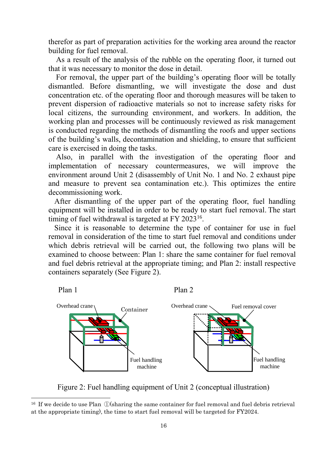therefor as part of preparation activities for the working area around the reactor building for fuel removal.

As a result of the analysis of the rubble on the operating floor, it turned out that it was necessary to monitor the dose in detail.

For removal, the upper part of the building's operating floor will be totally dismantled. Before dismantling, we will investigate the dose and dust concentration etc. of the operating floor and thorough measures will be taken to prevent dispersion of radioactive materials so not to increase safety risks for local citizens, the surrounding environment, and workers. In addition, the working plan and processes will be continuously reviewed as risk management is conducted regarding the methods of dismantling the roofs and upper sections of the building's walls, decontamination and shielding, to ensure that sufficient care is exercised in doing the tasks.

Also, in parallel with the investigation of the operating floor and implementation of necessary countermeasures, we will improve the environment around Unit 2 (disassembly of Unit No. 1 and No. 2 exhaust pipe and measure to prevent sea contamination etc.). This optimizes the entire decommissioning work.

After dismantling of the upper part of the operating floor, fuel handling equipment will be installed in order to be ready to start fuel removal. The start timing of fuel withdrawal is targeted at FY 2023<sup>16</sup>.

Since it is reasonable to determine the type of container for use in fuel removal in consideration of the time to start fuel removal and conditions under which debris retrieval will be carried out, the following two plans will be examined to choose between: Plan 1: share the same container for fuel removal and fuel debris retrieval at the appropriate timing; and Plan 2: install respective containers separately (See Figure 2).



Figure 2: Fuel handling equipment of Unit 2 (conceptual illustration)

-

<sup>&</sup>lt;sup>16</sup> If we decide to use Plan  $(D(\text{sharp the same container for fuel removal and fuel debris retrieval)$ at the appropriate timing), the time to start fuel removal will be targeted for FY2024.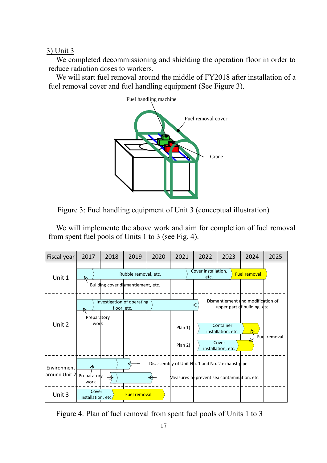3) Unit 3

We completed decommissioning and shielding the operation floor in order to reduce radiation doses to workers.

We will start fuel removal around the middle of FY2018 after installation of a fuel removal cover and fuel handling equipment (See Figure 3).





We will implemente the above work and aim for completion of fuel removal from spent fuel pools of Units 1 to 3 (see Fig. 4).



Figure 4: Plan of fuel removal from spent fuel pools of Units 1 to 3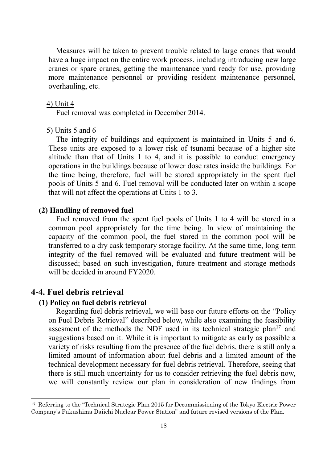Measures will be taken to prevent trouble related to large cranes that would have a huge impact on the entire work process, including introducing new large cranes or spare cranes, getting the maintenance yard ready for use, providing more maintenance personnel or providing resident maintenance personnel, overhauling, etc.

#### 4) Unit 4

Fuel removal was completed in December 2014.

#### 5) Units 5 and 6

The integrity of buildings and equipment is maintained in Units 5 and 6. These units are exposed to a lower risk of tsunami because of a higher site altitude than that of Units 1 to 4, and it is possible to conduct emergency operations in the buildings because of lower dose rates inside the buildings. For the time being, therefore, fuel will be stored appropriately in the spent fuel pools of Units 5 and 6. Fuel removal will be conducted later on within a scope that will not affect the operations at Units 1 to 3.

#### **(2) Handling of removed fuel**

Fuel removed from the spent fuel pools of Units 1 to 4 will be stored in a common pool appropriately for the time being. In view of maintaining the capacity of the common pool, the fuel stored in the common pool will be transferred to a dry cask temporary storage facility. At the same time, long-term integrity of the fuel removed will be evaluated and future treatment will be discussed; based on such investigation, future treatment and storage methods will be decided in around FY2020.

## <span id="page-18-0"></span>**4-4. Fuel debris retrieval**

 $\overline{\phantom{a}}$ 

#### **(1) Policy on fuel debris retrieval**

Regarding fuel debris retrieval, we will base our future efforts on the "Policy on Fuel Debris Retrieval" described below, while also examining the feasibility assesment of the methods the NDF used in its technical strategic plan<sup>17</sup> and suggestions based on it. While it is important to mitigate as early as possible a variety of risks resulting from the presence of the fuel debris, there is still only a limited amount of information about fuel debris and a limited amount of the technical development necessary for fuel debris retrieval. Therefore, seeing that there is still much uncertainty for us to consider retrieving the fuel debris now, we will constantly review our plan in consideration of new findings from

<sup>&</sup>lt;sup>17</sup> Referring to the "Technical Strategic Plan 2015 for Decommissioning of the Tokyo Electric Power Company's Fukushima Daiichi Nuclear Power Station" and future revised versions of the Plan.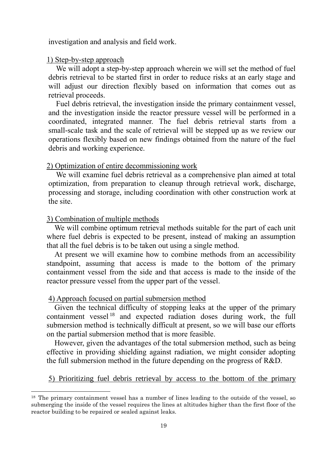investigation and analysis and field work.

#### 1) Step-by-step approach

We will adopt a step-by-step approach wherein we will set the method of fuel debris retrieval to be started first in order to reduce risks at an early stage and will adjust our direction flexibly based on information that comes out as retrieval proceeds.

Fuel debris retrieval, the investigation inside the primary containment vessel, and the investigation inside the reactor pressure vessel will be performed in a coordinated, integrated manner. The fuel debris retrieval starts from a small-scale task and the scale of retrieval will be stepped up as we review our operations flexibly based on new findings obtained from the nature of the fuel debris and working experience.

#### 2) Optimization of entire decommissioning work

We will examine fuel debris retrieval as a comprehensive plan aimed at total optimization, from preparation to cleanup through retrieval work, discharge, processing and storage, including coordination with other construction work at the site.

#### 3) Combination of multiple methods

-

We will combine optimum retrieval methods suitable for the part of each unit where fuel debris is expected to be present, instead of making an assumption that all the fuel debris is to be taken out using a single method.

At present we will examine how to combine methods from an accessibility standpoint, assuming that access is made to the bottom of the primary containment vessel from the side and that access is made to the inside of the reactor pressure vessel from the upper part of the vessel.

#### 4) Approach focused on partial submersion method

Given the technical difficulty of stopping leaks at the upper of the primary containment vessel  $18$  and expected radiation doses during work, the full submersion method is technically difficult at present, so we will base our efforts on the partial submersion method that is more feasible.

However, given the advantages of the total submersion method, such as being effective in providing shielding against radiation, we might consider adopting the full submersion method in the future depending on the progress of R&D.

#### 5) Prioritizing fuel debris retrieval by access to the bottom of the primary

<sup>18</sup> The primary containment vessel has a number of lines leading to the outside of the vessel, so submerging the inside of the vessel requires the lines at altitudes higher than the first floor of the reactor building to be repaired or sealed against leaks.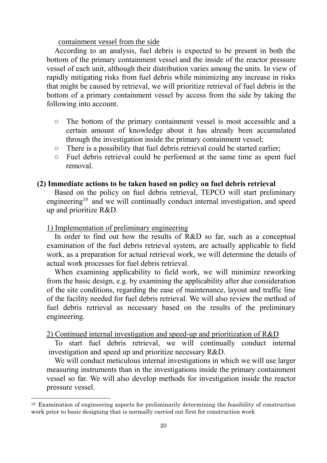containment vessel from the side

According to an analysis, fuel debris is expected to be present in both the bottom of the primary containment vessel and the inside of the reactor pressure vessel of each unit, although their distribution varies among the units. In view of rapidly mitigating risks from fuel debris while minimizing any increase in risks that might be caused by retrieval, we will prioritize retrieval of fuel debris in the bottom of a primary containment vessel by access from the side by taking the following into account.

- The bottom of the primary containment vessel is most accessible and a certain amount of knowledge about it has already been accumulated through the investigation inside the primary containment vessel;
- There is a possibility that fuel debris retrieval could be started earlier;
- Fuel debris retrieval could be performed at the same time as spent fuel removal.

#### **(2) Immediate actions to be taken based on policy on fuel debris retrieval**

Based on the policy on fuel debris retrieval, TEPCO will start preliminary engineering<sup>19</sup> and we will continually conduct internal investigation, and speed up and prioritize R&D.

#### 1) Implementation of preliminary engineering

 $\overline{\phantom{a}}$ 

In order to find out how the results of R&D so far, such as a conceptual examination of the fuel debris retrieval system, are actually applicable to field work, as a preparation for actual retrieval work, we will determine the details of actual work processes for fuel debris retrieval.

When examining applicability to field work, we will minimize reworking from the basic design, e.g. by examining the applicability after due consideration of the site conditions, regarding the ease of maintenance, layout and traffic line of the facility needed for fuel debris retrieval. We will also review the method of fuel debris retrieval as necessary based on the results of the preliminary engineering.

#### 2) Continued internal investigation and speed-up and prioritization of R&D

To start fuel debris retrieval, we will continually conduct internal investigation and speed up and prioritize necessary R&D.

We will conduct meticulous internal investigations in which we will use larger measuring instruments than in the investigations inside the primary containment vessel so far. We will also develop methods for investigation inside the reactor pressure vessel.

<sup>19</sup> Examination of engineering aspects for preliminarily determining the feasibility of construction work prior to basic designing that is normally carried out first for construction work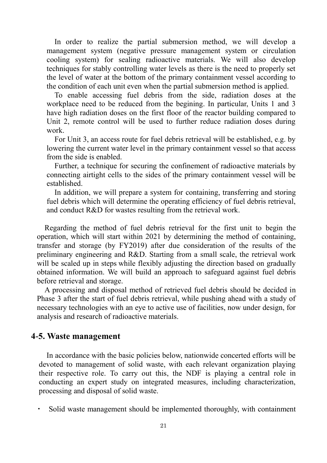In order to realize the partial submersion method, we will develop a management system (negative pressure management system or circulation cooling system) for sealing radioactive materials. We will also develop techniques for stably controlling water levels as there is the need to properly set the level of water at the bottom of the primary containment vessel according to the condition of each unit even when the partial submersion method is applied.

To enable accessing fuel debris from the side, radiation doses at the workplace need to be reduced from the begining. In particular, Units 1 and 3 have high radiation doses on the first floor of the reactor building compared to Unit 2, remote control will be used to further reduce radiation doses during work.

For Unit 3, an access route for fuel debris retrieval will be established, e.g. by lowering the current water level in the primary containment vessel so that access from the side is enabled.

Further, a technique for securing the confinement of radioactive materials by connecting airtight cells to the sides of the primary containment vessel will be established.

In addition, we will prepare a system for containing, transferring and storing fuel debris which will determine the operating efficiency of fuel debris retrieval, and conduct R&D for wastes resulting from the retrieval work.

Regarding the method of fuel debris retrieval for the first unit to begin the operation, which will start within 2021 by determining the method of containing, transfer and storage (by FY2019) after due consideration of the results of the preliminary engineering and R&D. Starting from a small scale, the retrieval work will be scaled up in steps while flexibly adjusting the direction based on gradually obtained information. We will build an approach to safeguard against fuel debris before retrieval and storage.

A processing and disposal method of retrieved fuel debris should be decided in Phase 3 after the start of fuel debris retrieval, while pushing ahead with a study of necessary technologies with an eye to active use of facilities, now under design, for analysis and research of radioactive materials.

## <span id="page-21-0"></span>**4-5. Waste management**

In accordance with the basic policies below, nationwide concerted efforts will be devoted to management of solid waste, with each relevant organization playing their respective role. To carry out this, the NDF is playing a central role in conducting an expert study on integrated measures, including characterization, processing and disposal of solid waste.

Solid waste management should be implemented thoroughly, with containment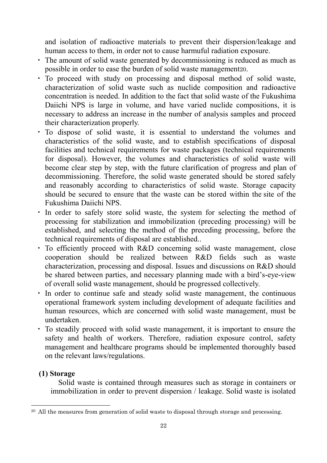and isolation of radioactive materials to prevent their dispersion/leakage and human access to them, in order not to cause harmuful radiation exposure.

- ・ The amount of solid waste generated by decommissioning is reduced as much as possible in order to ease the burden of solid waste management20.
- ・ To proceed with study on processing and disposal method of solid waste, characterization of solid waste such as nuclide composition and radioactive concentration is needed. In addition to the fact that solid waste of the Fukushima Daiichi NPS is large in volume, and have varied nuclide compositions, it is necessary to address an increase in the number of analysis samples and proceed their characterization properly.
- ・ To dispose of solid waste, it is essential to understand the volumes and characteristics of the solid waste, and to establish specifications of disposal facilities and technical requirements for waste packages (technical requirements for disposal). However, the volumes and characteristics of solid waste will become clear step by step, with the future clarification of progress and plan of decommissioning. Therefore, the solid waste generated should be stored safely and reasonably according to characteristics of solid waste. Storage capacity should be secured to ensure that the waste can be stored within the site of the Fukushima Daiichi NPS.
- ・ In order to safely store solid waste, the system for selecting the method of processing for stabilization and immobilization (preceding processing) will be established, and selecting the method of the preceding processing, before the technical requirements of disposal are established..
- ・ To efficiently proceed with R&D concerning solid waste management, close cooperation should be realized between R&D fields such as waste characterization, processing and disposal. Issues and discussions on R&D should be shared between parties, and necessary planning made with a bird's-eye-view of overall solid waste management, should be progressed collectively.
- ・ In order to continue safe and steady solid waste management, the continuous operational framework system including development of adequate facilities and human resources, which are concerned with solid waste management, must be undertaken.
- ・ To steadily proceed with solid waste management, it is important to ensure the safety and health of workers. Therefore, radiation exposure control, safety management and healthcare programs should be implemented thoroughly based on the relevant laws/regulations.

## **(1) Storage**

-

Solid waste is contained through measures such as storage in containers or immobilization in order to prevent dispersion / leakage. Solid waste is isolated

<sup>&</sup>lt;sup>20</sup> All the measures from generation of solid waste to disposal through storage and processing.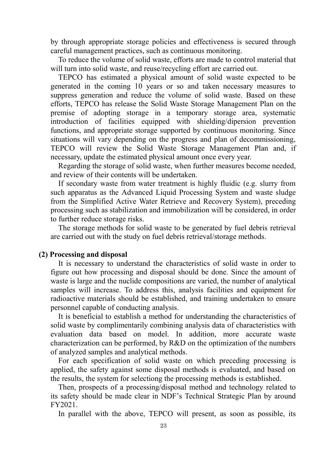by through appropriate storage policies and effectiveness is secured through careful management practices, such as continuous monitoring.

To reduce the volume of solid waste, efforts are made to control material that will turn into solid waste, and reuse/recycling effort are carried out.

TEPCO has estimated a physical amount of solid waste expected to be generated in the coming 10 years or so and taken necessary measures to suppress generation and reduce the volume of solid waste. Based on these efforts, TEPCO has release the Solid Waste Storage Management Plan on the premise of adopting storage in a temporary storage area, systematic introduction of facilities equipped with shielding/dipersion prevention functions, and appropriate storage supported by continuous monitoring. Since situations will vary depending on the progress and plan of decommissioning, TEPCO will review the Solid Waste Storage Management Plan and, if necessary, update the estimated physical amount once every year.

Regarding the storage of solid waste, when further measures become needed, and review of their contents will be undertaken.

If secondary waste from water treatment is highly fluidic (e.g. slurry from such apparatus as the Advanced Liquid Processing System and waste sludge from the Simplified Active Water Retrieve and Recovery System), preceding processing such as stabilization and immobilization will be considered, in order to further reduce storage risks.

The storage methods for solid waste to be generated by fuel debris retrieval are carried out with the study on fuel debris retrieval/storage methods.

#### **(2) Processing and disposal**

It is necessary to understand the characteristics of solid waste in order to figure out how processing and disposal should be done. Since the amount of waste is large and the nuclide compositions are varied, the number of analytical samples will increase. To address this, analysis facilities and equipment for radioactive materials should be established, and training undertaken to ensure personnel capable of conducting analysis.

It is beneficial to establish a method for understanding the characteristics of solid waste by complimentarily combining analysis data of characteristics with evaluation data based on model. In addition, more accurate waste characterization can be performed, by R&D on the optimization of the numbers of analyzed samples and analytical methods.

For each specification of solid waste on which preceding processing is applied, the safety against some disposal methods is evaluated, and based on the results, the system for selectiong the processing methods is established.

Then, prospects of a processing/disposal method and technology related to its safety should be made clear in NDF's Technical Strategic Plan by around FY2021.

In parallel with the above, TEPCO will present, as soon as possible, its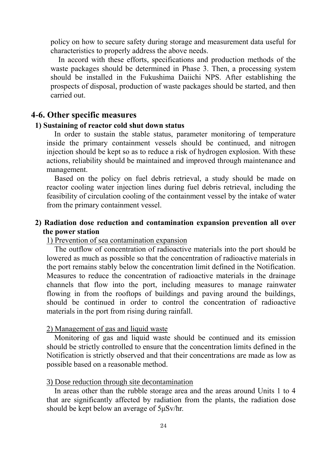policy on how to secure safety during storage and measurement data useful for characteristics to properly address the above needs.

In accord with these efforts, specifications and production methods of the waste packages should be determined in Phase 3. Then, a processing system should be installed in the Fukushima Daiichi NPS. After establishing the prospects of disposal, production of waste packages should be started, and then carried out.

#### <span id="page-24-0"></span>**4-6. Other specific measures**

#### **1) Sustaining of reactor cold shut down status**

 In order to sustain the stable status, parameter monitoring of temperature inside the primary containment vessels should be continued, and nitrogen injection should be kept so as to reduce a risk of hydrogen explosion. With these actions, reliability should be maintained and improved through maintenance and management.

Based on the policy on fuel debris retrieval, a study should be made on reactor cooling water injection lines during fuel debris retrieval, including the feasibility of circulation cooling of the containment vessel by the intake of water from the primary containment vessel.

## **2) Radiation dose reduction and contamination expansion prevention all over the power station**

#### 1) Prevention of sea contamination expansion

The outflow of concentration of radioactive materials into the port should be lowered as much as possible so that the concentration of radioactive materials in the port remains stably below the concentration limit defined in the Notification. Measures to reduce the concentration of radioactive materials in the drainage channels that flow into the port, including measures to manage rainwater flowing in from the rooftops of buildings and paving around the buildings, should be continued in order to control the concentration of radioactive materials in the port from rising during rainfall.

#### 2) Management of gas and liquid waste

 Monitoring of gas and liquid waste should be continued and its emission should be strictly controlled to ensure that the concentration limits defined in the Notification is strictly observed and that their concentrations are made as low as possible based on a reasonable method.

#### 3) Dose reduction through site decontamination

In areas other than the rubble storage area and the areas around Units 1 to 4 that are significantly affected by radiation from the plants, the radiation dose should be kept below an average of 5μSv/hr.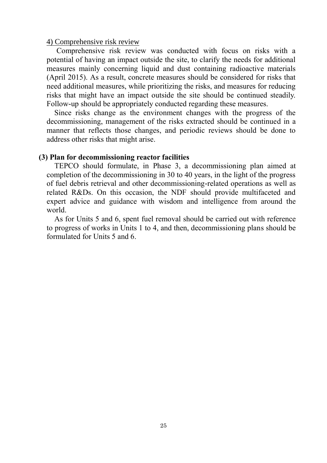#### 4) Comprehensive risk review

 Comprehensive risk review was conducted with focus on risks with a potential of having an impact outside the site, to clarify the needs for additional measures mainly concerning liquid and dust containing radioactive materials (April 2015). As a result, concrete measures should be considered for risks that need additional measures, while prioritizing the risks, and measures for reducing risks that might have an impact outside the site should be continued steadily. Follow-up should be appropriately conducted regarding these measures.

Since risks change as the environment changes with the progress of the decommissioning, management of the risks extracted should be continued in a manner that reflects those changes, and periodic reviews should be done to address other risks that might arise.

#### **(3) Plan for decommissioning reactor facilities**

TEPCO should formulate, in Phase 3, a decommissioning plan aimed at completion of the decommissioning in 30 to 40 years, in the light of the progress of fuel debris retrieval and other decommissioning-related operations as well as related R&Ds. On this occasion, the NDF should provide multifaceted and expert advice and guidance with wisdom and intelligence from around the world.

As for Units 5 and 6, spent fuel removal should be carried out with reference to progress of works in Units 1 to 4, and then, decommissioning plans should be formulated for Units 5 and 6.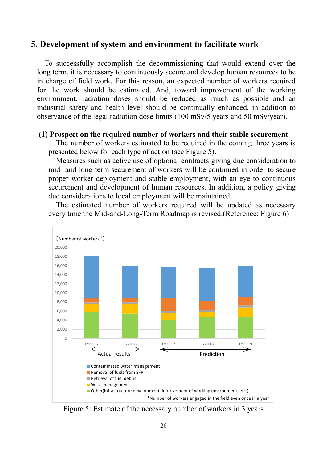## <span id="page-26-0"></span>**5. Development of system and environment to facilitate work**

To successfully accomplish the decommissioning that would extend over the long term, it is necessary to continuously secure and develop human resources to be in charge of field work. For this reason, an expected number of workers required for the work should be estimated. And, toward improvement of the working environment, radiation doses should be reduced as much as possible and an industrial safety and health level should be continually enhanced, in addition to observance of the legal radiation dose limits (100 mSv/5 years and 50 mSv/year).

#### **(1) Prospect on the required number of workers and their stable securement**

The number of workers estimated to be required in the coming three years is presented below for each type of action (see Figure 5).

Measures such as active use of optional contracts giving due consideration to mid- and long-term securement of workers will be continued in order to secure proper worker deployment and stable employment, with an eye to continuous securement and development of human resources. In addition, a policy giving due considerations to local employment will be maintained.

The estimated number of workers required will be updated as necessary every time the Mid-and-Long-Term Roadmap is revised.(Reference: Figure 6)



Figure 5: Estimate of the necessary number of workers in 3 years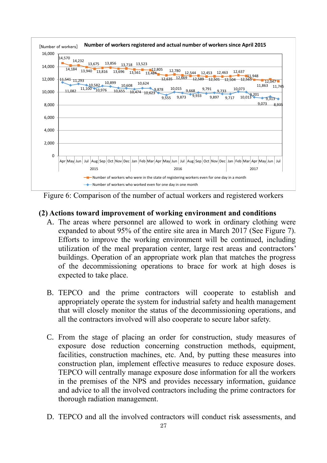

Figure 6: Comparison of the number of actual workers and registered workers

## **(2) Actions toward improvement of working environment and conditions**

- A. The areas where personnel are allowed to work in ordinary clothing were expanded to about 95% of the entire site area in March 2017 (See Figure 7). Efforts to improve the working environment will be continued, including utilization of the meal preparation center, large rest areas and contractors' buildings. Operation of an appropriate work plan that matches the progress of the decommissioning operations to brace for work at high doses is expected to take place.
- B. TEPCO and the prime contractors will cooperate to establish and appropriately operate the system for industrial safety and health management that will closely monitor the status of the decommissioning operations, and all the contractors involved will also cooperate to secure labor safety.
- C. From the stage of placing an order for construction, study measures of exposure dose reduction concerning construction methods, equipment, facilities, construction machines, etc. And, by putting these measures into construction plan, implement effective measures to reduce exposure doses. TEPCO will centrally manage exposure dose information for all the workers in the premises of the NPS and provides necessary information, guidance and advice to all the involved contractors including the prime contractors for thorough radiation management.
- D. TEPCO and all the involved contractors will conduct risk assessments, and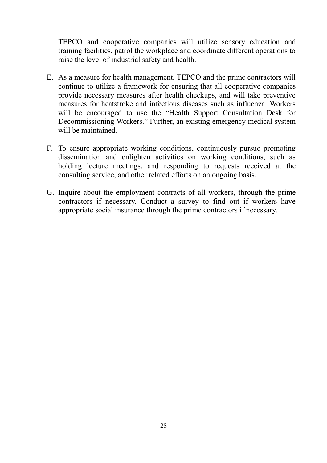TEPCO and cooperative companies will utilize sensory education and training facilities, patrol the workplace and coordinate different operations to raise the level of industrial safety and health.

- E. As a measure for health management, TEPCO and the prime contractors will continue to utilize a framework for ensuring that all cooperative companies provide necessary measures after health checkups, and will take preventive measures for heatstroke and infectious diseases such as influenza. Workers will be encouraged to use the "Health Support Consultation Desk for Decommissioning Workers." Further, an existing emergency medical system will be maintained.
- F. To ensure appropriate working conditions, continuously pursue promoting dissemination and enlighten activities on working conditions, such as holding lecture meetings, and responding to requests received at the consulting service, and other related efforts on an ongoing basis.
- G. Inquire about the employment contracts of all workers, through the prime contractors if necessary. Conduct a survey to find out if workers have appropriate social insurance through the prime contractors if necessary.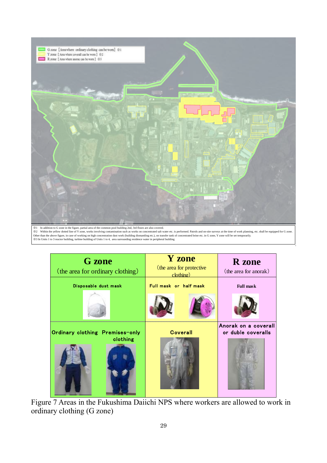

Other than the above figure, in case of working on high concentration dust work (building dismantling etc.), on transfer tank of concentrated brine etc. in G zone, Y zone will be set temporarily.<br>※3 In Units 1 to 3 reactor

| <b>G</b> zone<br>(the area for ordinary clothing) | <b>Y</b> zone<br>(the area for protective)<br>clothine) | <b>R</b> zone<br>(the area for anorak)     |
|---------------------------------------------------|---------------------------------------------------------|--------------------------------------------|
| Disposable dust mask                              | Full mask or half mask                                  | <b>Full mask</b>                           |
|                                                   |                                                         |                                            |
| Ordinary clothing Premises-only                   | <b>Coverall</b>                                         | Anorak on a coverall<br>or duble coveralls |
| clothing                                          |                                                         |                                            |

Figure 7 Areas in the Fukushima Daiichi NPS where workers are allowed to work in ordinary clothing (G zone)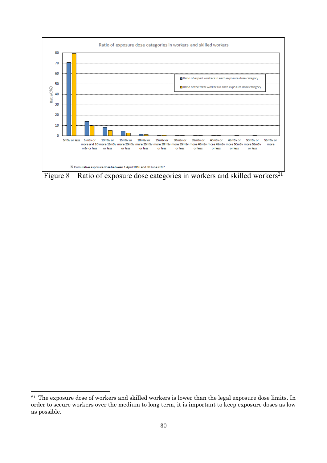

Figure 8 Ratio of exposure dose categories in workers and skilled workers<sup>21</sup>

-

<sup>&</sup>lt;sup>21</sup> The exposure dose of workers and skilled workers is lower than the legal exposure dose limits. In order to secure workers over the medium to long term, it is important to keep exposure doses as low as possible.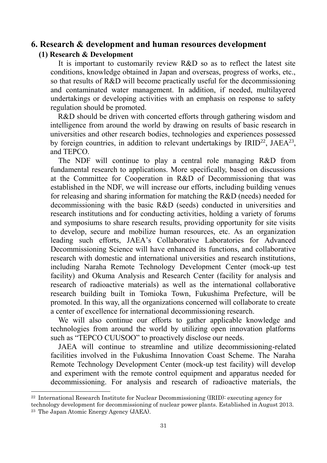## <span id="page-31-0"></span>**6. Research & development and human resources development**

#### **(1) Research & Development**

-

It is important to customarily review R&D so as to reflect the latest site conditions, knowledge obtained in Japan and overseas, progress of works, etc., so that results of R&D will become practically useful for the decommissioning and contaminated water management. In addition, if needed, multilayered undertakings or developing activities with an emphasis on response to safety regulation should be promoted.

R&D should be driven with concerted efforts through gathering wisdom and intelligence from around the world by drawing on results of basic research in universities and other research bodies, technologies and experiences possessed by foreign countries, in addition to relevant undertakings by IRID<sup>22</sup>, JAEA<sup>23</sup>, and TEPCO.

The NDF will continue to play a central role managing R&D from fundamental research to applications. More specifically, based on discussions at the Committee for Cooperation in R&D of Decommissioning that was established in the NDF, we will increase our efforts, including building venues for releasing and sharing information for matching the R&D (needs) needed for decommissioning with the basic R&D (seeds) conducted in universities and research institutions and for conducting activities, holding a variety of forums and symposiums to share research results, providing opportunity for site visits to develop, secure and mobilize human resources, etc. As an organization leading such efforts, JAEA's Collaborative Laboratories for Advanced Decommissioning Science will have enhanced its functions, and collaborative research with domestic and international universities and research institutions, including Naraha Remote Technology Development Center (mock-up test facility) and Okuma Analysis and Research Center (facility for analysis and research of radioactive materials) as well as the international collaborative research building built in Tomioka Town, Fukushima Prefecture, will be promoted. In this way, all the organizations concerned will collaborate to create a center of excellence for international decommissioning research.

We will also continue our efforts to gather applicable knowledge and technologies from around the world by utilizing open innovation platforms such as "TEPCO CUUSOO" to proactively disclose our needs.

JAEA will continue to streamline and utilize decommissioning-related facilities involved in the Fukushima Innovation Coast Scheme. The Naraha Remote Technology Development Center (mock-up test facility) will develop and experiment with the remote control equipment and apparatus needed for decommissioning. For analysis and research of radioactive materials, the

<sup>22</sup> International Research Institute for Nuclear Decommissioning (IRID): executing agency for

technology development for decommissioning of nuclear power plants. Established in August 2013. <sup>23</sup> The Japan Atomic Energy Agency (JAEA).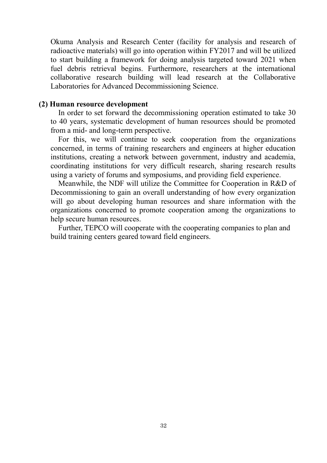Okuma Analysis and Research Center (facility for analysis and research of radioactive materials) will go into operation within FY2017 and will be utilized to start building a framework for doing analysis targeted toward 2021 when fuel debris retrieval begins. Furthermore, researchers at the international collaborative research building will lead research at the Collaborative Laboratories for Advanced Decommissioning Science.

#### **(2) Human resource development**

In order to set forward the decommissioning operation estimated to take 30 to 40 years, systematic development of human resources should be promoted from a mid- and long-term perspective.

For this, we will continue to seek cooperation from the organizations concerned, in terms of training researchers and engineers at higher education institutions, creating a network between government, industry and academia, coordinating institutions for very difficult research, sharing research results using a variety of forums and symposiums, and providing field experience.

Meanwhile, the NDF will utilize the Committee for Cooperation in R&D of Decommissioning to gain an overall understanding of how every organization will go about developing human resources and share information with the organizations concerned to promote cooperation among the organizations to help secure human resources.

Further, TEPCO will cooperate with the cooperating companies to plan and build training centers geared toward field engineers.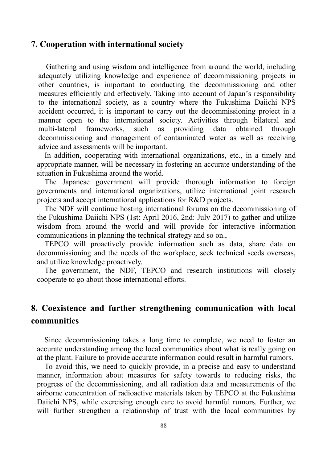#### <span id="page-33-0"></span>**7. Cooperation with international society**

 Gathering and using wisdom and intelligence from around the world, including adequately utilizing knowledge and experience of decommissioning projects in other countries, is important to conducting the decommissioning and other measures efficiently and effectively. Taking into account of Japan's responsibility to the international society, as a country where the Fukushima Daiichi NPS accident occurred, it is important to carry out the decommissioning project in a manner open to the international society. Activities through bilateral and multi-lateral frameworks, such as providing data obtained through decommissioning and management of contaminated water as well as receiving advice and assessments will be important.

In addition, cooperating with international organizations, etc., in a timely and appropriate manner, will be necessary in fostering an accurate understanding of the situation in Fukushima around the world.

The Japanese government will provide thorough information to foreign governments and international organizations, utilize international joint research projects and accept international applications for R&D projects.

The NDF will continue hosting international forums on the decommissioning of the Fukushima Daiichi NPS (1st: April 2016, 2nd: July 2017) to gather and utilize wisdom from around the world and will provide for interactive information communications in planning the technical strategy and so on.,

TEPCO will proactively provide information such as data, share data on decommissioning and the needs of the workplace, seek technical seeds overseas, and utilize knowledge proactively.

The government, the NDF, TEPCO and research institutions will closely cooperate to go about those international efforts.

# <span id="page-33-1"></span>**8. Coexistence and further strengthening communication with local communities**

Since decommissioning takes a long time to complete, we need to foster an accurate understanding among the local communities about what is really going on at the plant. Failure to provide accurate information could result in harmful rumors.

To avoid this, we need to quickly provide, in a precise and easy to understand manner, information about measures for safety towards to reducing risks, the progress of the decommissioning, and all radiation data and measurements of the airborne concentration of radioactive materials taken by TEPCO at the Fukushima Daiichi NPS, while exercising enough care to avoid harmful rumors. Further, we will further strengthen a relationship of trust with the local communities by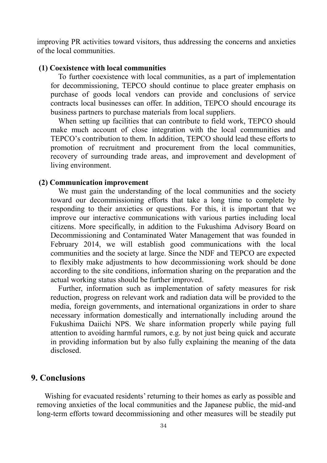improving PR activities toward visitors, thus addressing the concerns and anxieties of the local communities.

#### **(1) Coexistence with local communities**

To further coexistence with local communities, as a part of implementation for decommissioning, TEPCO should continue to place greater emphasis on purchase of goods local vendors can provide and conclusions of service contracts local businesses can offer. In addition, TEPCO should encourage its business partners to purchase materials from local suppliers.

When setting up facilities that can contribute to field work, TEPCO should make much account of close integration with the local communities and TEPCO's contribution to them. In addition, TEPCO should lead these efforts to promotion of recruitment and procurement from the local communities, recovery of surrounding trade areas, and improvement and development of living environment.

#### **(2) Communication improvement**

We must gain the understanding of the local communities and the society toward our decommissioning efforts that take a long time to complete by responding to their anxieties or questions. For this, it is important that we improve our interactive communications with various parties including local citizens. More specifically, in addition to the Fukushima Advisory Board on Decommissioning and Contaminated Water Management that was founded in February 2014, we will establish good communications with the local communities and the society at large. Since the NDF and TEPCO are expected to flexibly make adjustments to how decommissioning work should be done according to the site conditions, information sharing on the preparation and the actual working status should be further improved.

Further, information such as implementation of safety measures for risk reduction, progress on relevant work and radiation data will be provided to the media, foreign governments, and international organizations in order to share necessary information domestically and internationally including around the Fukushima Daiichi NPS. We share information properly while paying full attention to avoiding harmful rumors, e.g. by not just being quick and accurate in providing information but by also fully explaining the meaning of the data disclosed.

## <span id="page-34-0"></span>**9. Conclusions**

Wishing for evacuated residents' returning to their homes as early as possible and removing anxieties of the local communities and the Japanese public, the mid-and long-term efforts toward decommissioning and other measures will be steadily put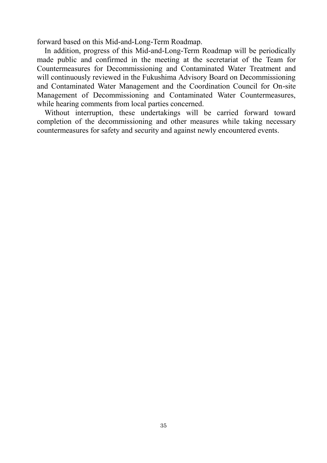forward based on this Mid-and-Long-Term Roadmap.

In addition, progress of this Mid-and-Long-Term Roadmap will be periodically made public and confirmed in the meeting at the secretariat of the Team for Countermeasures for Decommissioning and Contaminated Water Treatment and will continuously reviewed in the Fukushima Advisory Board on Decommissioning and Contaminated Water Management and the Coordination Council for On-site Management of Decommissioning and Contaminated Water Countermeasures, while hearing comments from local parties concerned.

Without interruption, these undertakings will be carried forward toward completion of the decommissioning and other measures while taking necessary countermeasures for safety and security and against newly encountered events.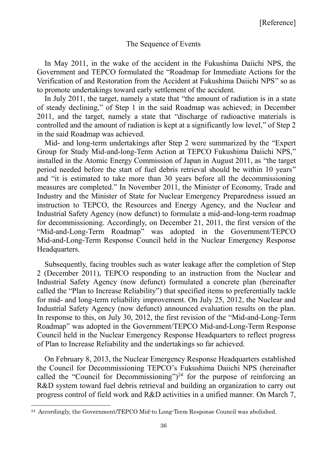#### <span id="page-36-0"></span>The Sequence of Events

In May 2011, in the wake of the accident in the Fukushima Daiichi NPS, the Government and TEPCO formulated the "Roadmap for Immediate Actions for the Verification of and Restoration from the Accident at Fukushima Daiichi NPS" so as to promote undertakings toward early settlement of the accident.

In July 2011, the target, namely a state that "the amount of radiation is in a state of steady declining," of Step 1 in the said Roadmap was achieved; in December 2011, and the target, namely a state that "discharge of radioactive materials is controlled and the amount of radiation is kept at a significantly low level," of Step 2 in the said Roadmap was achieved.

Mid- and long-term undertakings after Step 2 were summarized by the "Expert Group for Study Mid-and-long-Term Action at TEPCO Fukushima Daiichi NPS," installed in the Atomic Energy Commission of Japan in August 2011, as "the target period needed before the start of fuel debris retrieval should be within 10 years" and "it is estimated to take more than 30 years before all the decommissioning measures are completed." In November 2011, the Minister of Economy, Trade and Industry and the Minister of State for Nuclear Emergency Preparedness issued an instruction to TEPCO, the Resources and Energy Agency, and the Nuclear and Industrial Safety Agency (now defunct) to formulate a mid-and-long-term roadmap for decommissioning. Accordingly, on December 21, 2011, the first version of the "Mid-and-Long-Term Roadmap" was adopted in the Government/TEPCO Mid-and-Long-Term Response Council held in the Nuclear Emergency Response Headquarters.

Subsequently, facing troubles such as water leakage after the completion of Step 2 (December 2011), TEPCO responding to an instruction from the Nuclear and Industrial Safety Agency (now defunct) formulated a concrete plan (hereinafter called the "Plan to Increase Reliability") that specified items to preferentially tackle for mid- and long-term reliability improvement. On July 25, 2012, the Nuclear and Industrial Safety Agency (now defunct) announced evaluation results on the plan. In response to this, on July 30, 2012, the first revision of the "Mid-and-Long-Term Roadmap" was adopted in the Government/TEPCO Mid-and-Long-Term Response Council held in the Nuclear Emergency Response Headquarters to reflect progress of Plan to Increase Reliability and the undertakings so far achieved.

On February 8, 2013, the Nuclear Emergency Response Headquarters established the Council for Decommissioning TEPCO's Fukushima Daiichi NPS (hereinafter called the "Council for Decommissioning")<sup>24</sup> for the purpose of reinforcing an R&D system toward fuel debris retrieval and building an organization to carry out progress control of field work and R&D activities in a unified manner. On March 7,

-

<sup>24</sup> Accordingly, the Government/TEPCO Mid-to Long-Term Response Council was abolished.